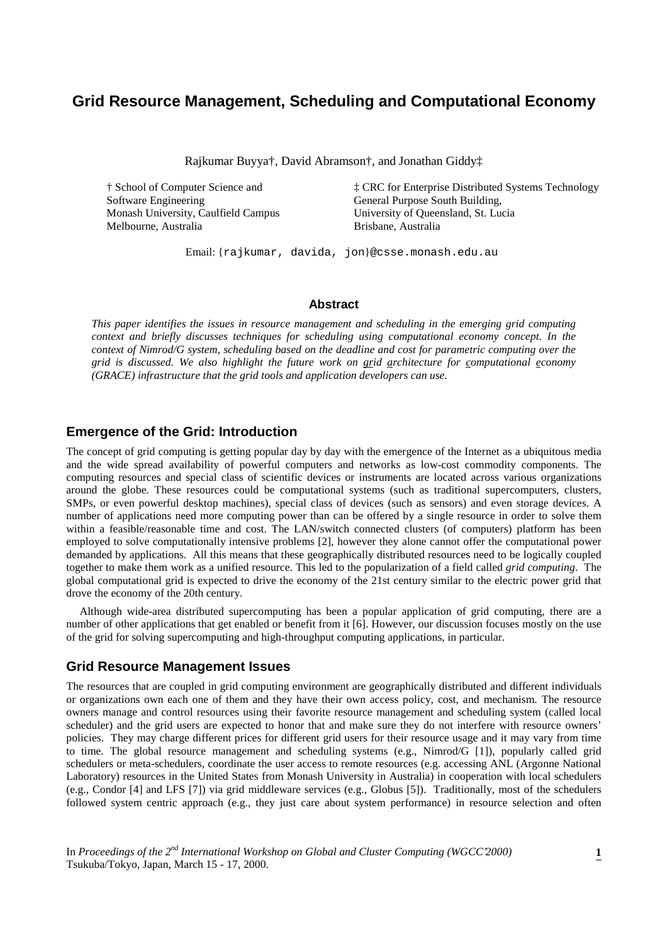## **Grid Resource Management, Scheduling and Computational Economy**

Rajkumar Buyya†, David Abramson†, and Jonathan Giddy‡

Software Engineering General Purpose South Building, Monash University, Caulfield Campus University of Queensland, St. Lucia Melbourne, Australia Brisbane, Australia

† School of Computer Science and ‡ CRC for Enterprise Distributed Systems Technology

Email: {rajkumar, davida, jon}@csse.monash.edu.au

#### **Abstract**

*This paper identifies the issues in resource management and scheduling in the emerging grid computing context and briefly discusses techniques for scheduling using computational economy concept. In the context of Nimrod/G system, scheduling based on the deadline and cost for parametric computing over the grid is discussed. We also highlight the future work on grid architecture for computational economy (GRACE) infrastructure that the grid tools and application developers can use.*

### **Emergence of the Grid: Introduction**

The concept of grid computing is getting popular day by day with the emergence of the Internet as a ubiquitous media and the wide spread availability of powerful computers and networks as low-cost commodity components. The computing resources and special class of scientific devices or instruments are located across various organizations around the globe. These resources could be computational systems (such as traditional supercomputers, clusters, SMPs, or even powerful desktop machines), special class of devices (such as sensors) and even storage devices. A number of applications need more computing power than can be offered by a single resource in order to solve them within a feasible/reasonable time and cost. The LAN/switch connected clusters (of computers) platform has been employed to solve computationally intensive problems [2], however they alone cannot offer the computational power demanded by applications. All this means that these geographically distributed resources need to be logically coupled together to make them work as a unified resource. This led to the popularization of a field called *grid computing*. The global computational grid is expected to drive the economy of the 21st century similar to the electric power grid that drove the economy of the 20th century.

Although wide-area distributed supercomputing has been a popular application of grid computing, there are a number of other applications that get enabled or benefit from it [6]. However, our discussion focuses mostly on the use of the grid for solving supercomputing and high-throughput computing applications, in particular.

#### **Grid Resource Management Issues**

The resources that are coupled in grid computing environment are geographically distributed and different individuals or organizations own each one of them and they have their own access policy, cost, and mechanism. The resource owners manage and control resources using their favorite resource management and scheduling system (called local scheduler) and the grid users are expected to honor that and make sure they do not interfere with resource owners' policies. They may charge different prices for different grid users for their resource usage and it may vary from time to time. The global resource management and scheduling systems (e.g., Nimrod/G [1]), popularly called grid schedulers or meta-schedulers, coordinate the user access to remote resources (e.g. accessing ANL (Argonne National Laboratory) resources in the United States from Monash University in Australia) in cooperation with local schedulers (e.g., Condor [4] and LFS [7]) via grid middleware services (e.g., Globus [5]). Traditionally, most of the schedulers followed system centric approach (e.g., they just care about system performance) in resource selection and often